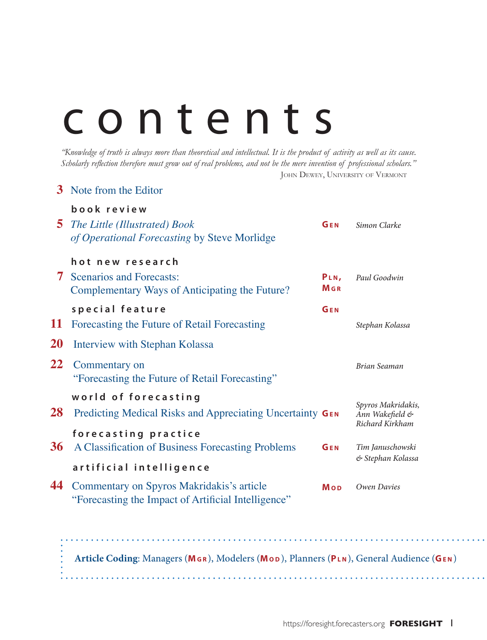# contents

*"Knowledge of truth is always more than theoretical and intellectual. It is the product of activity as well as its cause. Scholarly reflection therefore must grow out of real problems, and not be the mere invention of professional scholars."* JOHN DEWEY, UNIVERSITY OF VERMONT

| 3         | Note from the Editor                                                                                    |                     |                                                          |
|-----------|---------------------------------------------------------------------------------------------------------|---------------------|----------------------------------------------------------|
| 5         | book review<br>The Little (Illustrated) Book<br>of Operational Forecasting by Steve Morlidge            | GEN                 | Simon Clarke                                             |
|           | hot new research<br><b>7</b> Scenarios and Forecasts:<br>Complementary Ways of Anticipating the Future? | PLN,<br><b>M</b> GR | Paul Goodwin                                             |
| 11        | special feature<br>Forecasting the Future of Retail Forecasting                                         | GEN                 | Stephan Kolassa                                          |
| <b>20</b> | Interview with Stephan Kolassa                                                                          |                     |                                                          |
| 22        | Commentary on<br>"Forecasting the Future of Retail Forecasting"                                         |                     | Brian Seaman                                             |
| 28        | world of forecasting<br>Predicting Medical Risks and Appreciating Uncertainty GEN                       |                     | Spyros Makridakis,<br>Ann Wakefield &<br>Richard Kirkham |
| 36        | forecasting practice<br>A Classification of Business Forecasting Problems                               | GEN                 | Tim Januschowski<br>& Stephan Kolassa                    |
|           | artificial intelligence                                                                                 |                     |                                                          |
| 44        | Commentary on Spyros Makridakis's article<br>"Forecasting the Impact of Artificial Intelligence"        | Mop                 | Owen Davies                                              |

**Article Coding**: Managers (**Mg r** ), Modelers (**Mo d** ), Planners (**Pl n** ), General Audience (**Ge n** )

 $\mathbf{A}$  and  $\mathbf{A}$